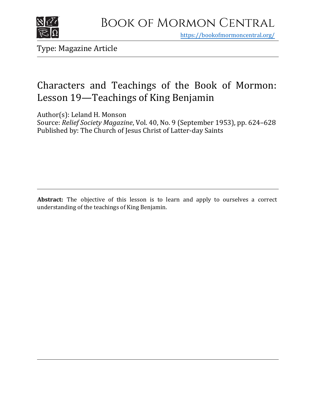

https[://bookofmormoncentral.org/](http://bookofmormoncentral.org/)

Type: Magazine Article

# Characters and Teachings of the Book of Mormon: Lesson 19—Teachings of King Benjamin

Author(s): Leland H. Monson

Source: *Relief Society Magazine*, Vol. 40, No. 9 (September 1953), pp. 624–628 Published by: The Church of Jesus Christ of Latter-day Saints

**Abstract:** The objective of this lesson is to learn and apply to ourselves a correct understanding of the teachings of King Benjamin.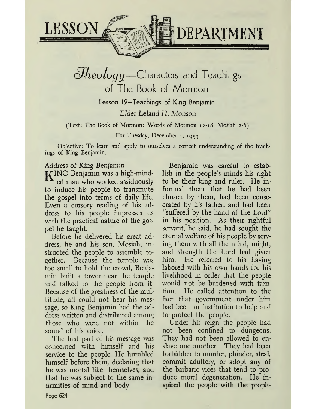

 $h$ eo*logy*—Characters and Teachings of The Book of Mormon Lesson 19—Teachings of King Benjamin *Elder Leland H. Monson*

(Text: The Book of Mormon: Words of Mormon 12-18; Mosiah 2-6)

For Tuesday, December 1, 1953

Objective: To learn and apply to ourselves a correct understanding of the teachings of King Benjamin.

## Address of *King Benjamin*

ING Benjamin was a high-minded man who worked assiduously to induce his people to transmute the gospel into terms of daily life. Even a cursory reading of his address to his people impresses us with the practical nature of the gospel he taught.

Before he delivered his great address, he and his son, Mosiah, instructed the people to assemble together. Because the temple was too small to hold the crowd, Benjamin built a tower near the temple and talked to the people from it. Because of the greatness of the multitude, all could not hear his message, so King Benjamin had the address written and distributed among those who were not within the sound of his voice.

The first part of his message was concerned with himself and his service to the people. He bumbled himself before them, declaring that he was mortal like themselves, and that he was subject to the same infirmities of mind and body.

Benjamin was careful to establish in the people's minds his right to be their king and ruler. He informed them that he had been chosen by them, had been consecrated by his father, and had been "suffered by the hand of the Lord" in his position. As their rightful servant, he said, he had sought the eternal welfare of his people by serving them with all the mind, might, and strength the Lord had given him. He referred to his having labored with his own hands for his livelihood in order that the people would not be burdened with taxation. He called attention to the fact that government under him had been an institution to help and to- protect the people.

Under his reign the people had not been confined to dungeons. They had not been allowed to enslave one another. They had been forbidden to murder, plunder, steal, commit adultery, or adopt any of the barbaric vices that tend to produce moral degeneration. He inspired the people with the proph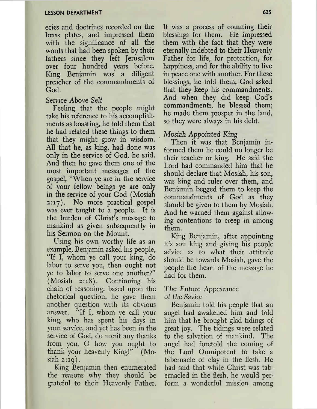ecies and doctrines recorded on the brass plates, and impressed them with the significance of all the words that had been spoken by their fathers since they left Jerusalem over four hundred years before. King Benjamin was a diligent preacher of the commandments of God.

# Service Above Self

Feeling that the people might take his reference to his accomplishments as boasting, he told them that he had related these things to them that they might grow in wisdom. All that he, as king, had done was only in the service of God, he said. And then he gave them one of the most important messages of the gospel, "When ye are in the service of your fellow beings ye are only in the service of your God (Mosiah 2:17). No more practical gospel was ever taught to a people. It is the burden of Christ's message to mankind as given subsequently in his Sermon on the Mount.

Using his own worthy life as an example, Benjamin asked his people, "If I, whom ye call your king, do labor to serve you, then ought not ye to labor to serve one another?" (Mosiah 2:18). Continuing his chain of reasoning, based upon the rhetorical question, he gave them another question with its obvious answer. "If I, whom ye call your king, who has spent his days in your service, and yet has been in the service of God, do merit any thanks from you, O how you ought to thank your heavenly King!" (Mosiah  $2:19$ ).

King Benjamin then enumerated the reasons why they should be grateful to their Heavenly Father. It was a process of counting their blessings for them. He impressed them with the fact that they were eternally indebted to their Heavenly Father for life, for protection, for happiness, and for the ability to live in peace one with another. For these blessings, he told them, God asked that they keep his commandments. And when they did keep God'<sup>s</sup> commandments, he blessed them; he made them prosper in the land, so they were always in his debt.

# Mosiah *Appointed King*

Then it was that Benjamin informed them he could no longer be their teacher or king. He said the Lord had commanded him that he should declare that Mosiah, his son, was king and ruler over them, and Benjamin begged them to keep the commandments of God as they should be given to them by Mosiah. And he warned them against allowing contentions to creep in among them.

King Benjamin, after appointing his son king and giving his people advice as to what their attitude should be towards Mosiah, gave the people the heart of the message he had for them.

### The Future Appearance of *the Savior*

Benjamin told his people that an angel had awakened him and told him that he brought glad tidings of great joy. The tidings were related to the salvation of mankind. The angel had foretold the coming of the Lord Omnipotent to take a tabernacle of clay in the flesh. He had said that while Christ was tabernacled in the flesh, he would perform a wonderful mission among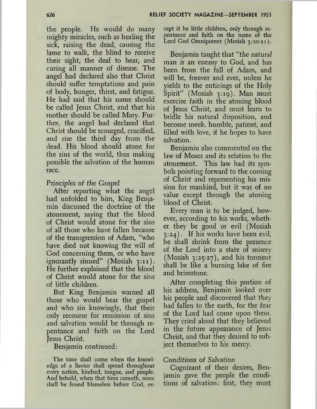the people. He would do many mighty miracles, such as healing the sick, raising the dead, causing the lame to walk, the blind to receive their sight, the deaf to hear, and curing all manner of disease. The angel had declared also that Christ should suffer temptations and pain of body, hunger, thirst, and fatigue. He had said that his name should be called Jesus Christ, and that his mother should be called Mary. Further, the angel had declared that Christ should be scourged, crucified, and rise the third day from the dead. His blood should atone for the sins of the world, thus making possible the salvation of the human race.

#### *Principles of the Gospel*

After reporting what the angel had unfolded to him, King Benjamin discussed the doctrine of the atonement, saying that the blood of Christ would atone for the sins of all those who have fallen because of the transgression of Adam, "who have died not knowing the will of God concerning them, or who have ignorantly sinned" (Mosiah 3:11). He further explained that the blood of Christ would atone for the sins of little children.

But King Benjamin warned all those who would hear the gospel and who sin knowingly, that their only recourse for remission of sins and salvation would be through repentance and faith on the Lord Jesus Christ.

Benjamin continued:

The time shall come when the knowledge of a Savior shall spread throughout every nation, kindred, tongue, and people. And behold, when that time cometh, none shall be found blameless before God, except it be little children, only through repentance and faith on the name of the Lord God Omnipotent (Mosiah 3:20-21).

Benjamin taught that *"the natural man is an enemy to God,* and has been from the fall of Adam, and will be, forever and ever, unless he yields to the enticings of the Holy Spirit" (Mosiah 3:19). Man must exercise faith in the atoning blood of Jesus Christ, and must learn to bridle his natural disposition, and become meek, humble, patient, and filled with love, if he hopes to have salvation.

Benjamin also commented on the law of Moses and its relation to the atonement. This law had its symbols pointing forward to the coming of Christ and representing his mission for mankind, but it was of no value except through the atoning blood of Christ.

Every man is to be judged, however, according to his works, whether they be good or evil (Mosiah 3:24). If his works have been evil, he shall shrink from the presence of the Lord into a state of misery (Mosiah 3:25-27), and his torment shall be like a burning lake of fire and brimstone.

After completing this portion of his address, Benjamin looked over his people and discovered that they had fallen to the earth, for the fear of the Lord had come upon them. They cried aloud that they believed in the future appearance of Jesus Christ, and that they desired to subject themselves to his mercy.

#### *Conditions of Salvation*

Cognizant of their desires, Benjamin gave the people the conditions of salvation: first, they must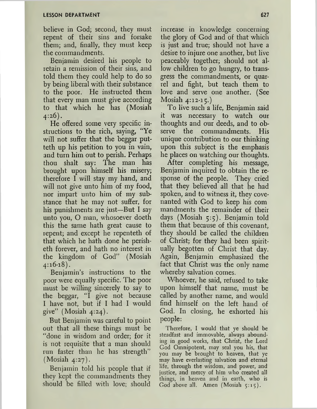believe in God; second, they must repent of their sins and forsake them; and, finally, they must keep the commandments.

Benjamin desired his people to retain a remission of their sins, and told them they could help to do so by being liberal with their substance to the poor. He instructed them that every man must give according to that which he has (Mosiah 4:26).

He offered some very specific instructions to the rich, saying, "Ye will not suffer that the beggar putteth up his petition to you in vain, and turn him out to perish. Perhaps thou shalt say: The man has brought upon himself his misery; therefore I will stay my hand, and will not give unto him of my food, nor impart unto him of my substance that he may not suffer, for his punishments are just—But I say unto you, O man, whosoever doeth this the same hath great cause to repent; and except he repenteth of that which he hath done he perisheth forever, and hath no interest in the kingdom of God" (Mosiah 4:16-18).

Benjamin'<sup>s</sup> instructions to the poor were equally specific. The poor must be willing sincerely to say to the beggar, "I give not because I have not, but if I had I would give" (Mosiah  $4:24$ ).

But Benjamin was careful to point out that all these things must be "done in wisdom and order; for it is not requisite that a man should run faster than he has strength" (Mosiah 4:27).

Benjamin told his people that if they kept the commandments they should be filled with love; should

increase in knowledge concerning the glory of God and of that which is just and true; should not have a desire to injure one another, but live peaceably together; should not allow children to go hungry, to transgress the commandments, or quarrel and fight, but teach them to love and serve one another. (See Mosiah 4:12-15.)

To live such a life, Benjamin said it was necessary to watch our thoughts and our deeds, and to observe the commandments. His unique contribution to our thinking upon this subject is the emphasis he places on watching our thoughts.

After completing his message, Benjamin inquired to obtain the response of the people. They cried that they believed all that he had spoken, and to witness it, they covenanted with God to keep his com mandments the remainder of their days (Mosiah 5:5). Benjamin told them that because of this covenant, they should be called the children of Christ; for they had been spiritually begotten of Christ that day. Again, Benjamin emphasized the fact that Christ was the only name whereby salvation comes.

Whoever, he said, refused to take upon himself that name, must be called by another name, and would find himself on the left hand of God. In closing, he exhorted his people:

Therefore, I would that ye should be steadfast and immovable, always abounding in good works, that Christ, the Lord God Omnipotent, may seal you his, that you may be brought to heaven, that ye may have everlasting salvation and eternal life, through the wisdom, and power, and justice, and mercy of him who created all things, in heaven and in earth, who is God above all. Amen (Mosiah 5:15).